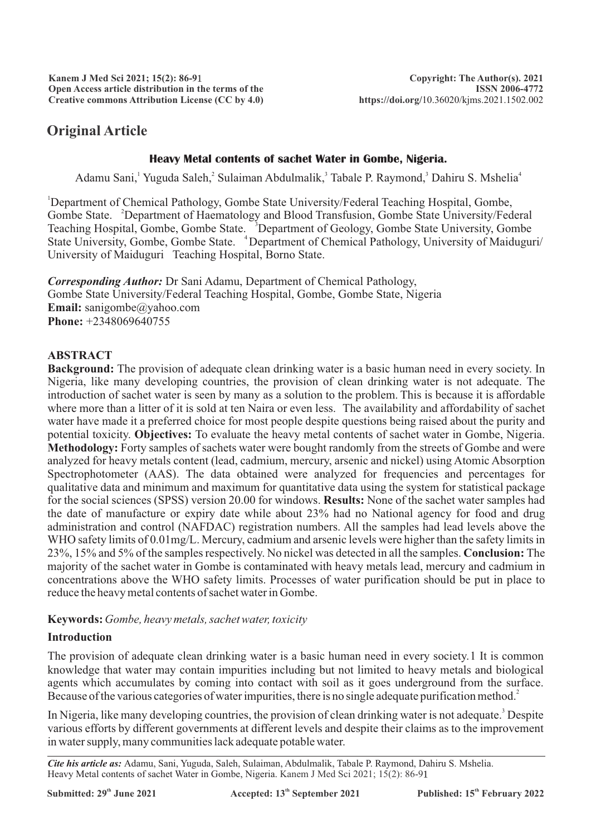# **Original Article**

# **Heavy Metal contents of sachet Water in Gombe, Nigeria.**

Adamu Sani, Yuguda Saleh, Sulaiman Abdulmalik, Tabale P. Raymond, Dahiru S. Mshelia<sup>4</sup>

<sup>1</sup>Department of Chemical Pathology, Gombe State University/Federal Teaching Hospital, Gombe, Gombe State. <sup>2</sup>Department of Haematology and Blood Transfusion, Gombe State University/Federal Teaching Hospital, Gombe, Gombe State. <sup>3</sup>Department of Geology, Gombe State University, Gombe State University, Gombe, Gombe State. <sup>4</sup> Department of Chemical Pathology, University of Maiduguri/ University of Maiduguri Teaching Hospital, Borno State.

*Corresponding Author:* Dr Sani Adamu, Department of Chemical Pathology, Gombe State University/Federal Teaching Hospital, Gombe, Gombe State, Nigeria **Email:** sanigombe@yahoo.com **Phone:** +2348069640755

# **ABSTRACT**

**Background:** The provision of adequate clean drinking water is a basic human need in every society. In Nigeria, like many developing countries, the provision of clean drinking water is not adequate. The introduction of sachet water is seen by many as a solution to the problem. This is because it is affordable where more than a litter of it is sold at ten Naira or even less. The availability and affordability of sachet water have made it a preferred choice for most people despite questions being raised about the purity and potential toxicity. **Objectives:** To evaluate the heavy metal contents of sachet water in Gombe, Nigeria. **Methodology:** Forty samples of sachets water were bought randomly from the streets of Gombe and were analyzed for heavy metals content (lead, cadmium, mercury, arsenic and nickel) using Atomic Absorption Spectrophotometer (AAS). The data obtained were analyzed for frequencies and percentages for qualitative data and minimum and maximum for quantitative data using the system for statistical package for the social sciences (SPSS) version 20.00 for windows. **Results:** None of the sachet water samples had the date of manufacture or expiry date while about 23% had no National agency for food and drug administration and control (NAFDAC) registration numbers. All the samples had lead levels above the WHO safety limits of 0.01mg/L. Mercury, cadmium and arsenic levels were higher than the safety limits in 23%, 15% and 5% of the samples respectively. No nickel was detected in all the samples. **Conclusion:** The majority of the sachet water in Gombe is contaminated with heavy metals lead, mercury and cadmium in concentrations above the WHO safety limits. Processes of water purification should be put in place to reduce the heavy metal contents of sachet water in Gombe.

**Keywords:** *Gombe, heavy metals, sachet water, toxicity*

# **Introduction**

The provision of adequate clean drinking water is a basic human need in every society.1 It is common knowledge that water may contain impurities including but not limited to heavy metals and biological agents which accumulates by coming into contact with soil as it goes underground from the surface. Because of the various categories of water impurities, there is no single adequate purification method.<sup>2</sup>

In Nigeria, like many developing countries, the provision of clean drinking water is not adequate.<sup>3</sup> Despite various efforts by different governments at different levels and despite their claims as to the improvement in water supply, many communities lack adequate potable water.

*Cite his article as:* Adamu, Sani, Yuguda, Saleh, Sulaiman, Abdulmalik, Tabale P. Raymond, Dahiru S. Mshelia. Heavy Metal contents of sachet Water in Gombe, Nigeria. Kanem J Med Sci 2021; 15(2): 86-91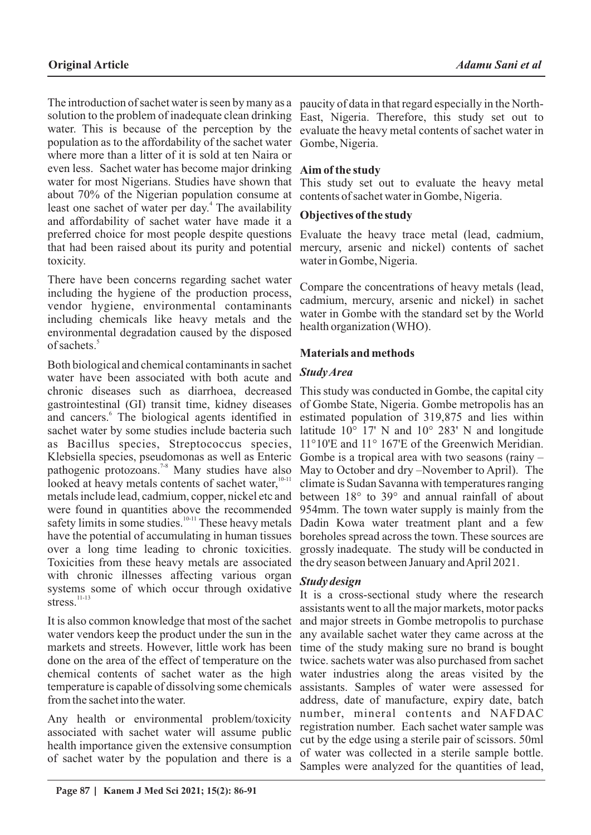The introduction of sachet water is seen by many as a solution to the problem of inadequate clean drinking water. This is because of the perception by the population as to the affordability of the sachet water where more than a litter of it is sold at ten Naira or even less. Sachet water has become major drinking water for most Nigerians. Studies have shown that about 70% of the Nigerian population consume at least one sachet of water per day.<sup>4</sup> The availability and affordability of sachet water have made it a preferred choice for most people despite questions that had been raised about its purity and potential toxicity.

There have been concerns regarding sachet water including the hygiene of the production process, vendor hygiene, environmental contaminants including chemicals like heavy metals and the environmental degradation caused by the disposed of sachets.<sup>5</sup>

Both biological and chemical contaminants in sachet water have been associated with both acute and chronic diseases such as diarrhoea, decreased gastrointestinal (GI) transit time, kidney diseases and cancers.<sup>6</sup> The biological agents identified in sachet water by some studies include bacteria such as Bacillus species, Streptococcus species, Klebsiella species, pseudomonas as well as Enteric pathogenic protozoans.<sup>78</sup> Many studies have also looked at heavy metals contents of sachet water,<sup>10-11</sup> metals include lead, cadmium, copper, nickel etc and were found in quantities above the recommended safety limits in some studies.<sup>10-11</sup> These heavy metals have the potential of accumulating in human tissues over a long time leading to chronic toxicities. Toxicities from these heavy metals are associated with chronic illnesses affecting various organ systems some of which occur through oxidative  $stress<sup>11-13</sup>$ 

It is also common knowledge that most of the sachet water vendors keep the product under the sun in the markets and streets. However, little work has been done on the area of the effect of temperature on the chemical contents of sachet water as the high temperature is capable of dissolving some chemicals from the sachet into the water.

Any health or environmental problem/toxicity associated with sachet water will assume public health importance given the extensive consumption of sachet water by the population and there is a

paucity of data in that regard especially in the North-East, Nigeria. Therefore, this study set out to evaluate the heavy metal contents of sachet water in Gombe, Nigeria.

# **Aim of the study**

This study set out to evaluate the heavy metal contents of sachet water in Gombe, Nigeria.

#### **Objectives of the study**

Evaluate the heavy trace metal (lead, cadmium, mercury, arsenic and nickel) contents of sachet water in Gombe, Nigeria.

Compare the concentrations of heavy metals (lead, cadmium, mercury, arsenic and nickel) in sachet water in Gombe with the standard set by the World health organization (WHO).

#### **Materials and methods**

#### *Study Area*

This study was conducted in Gombe, the capital city of Gombe State, Nigeria. Gombe metropolis has an estimated population of 319,875 and lies within latitude  $10^{\circ}$  17' N and  $10^{\circ}$  283' N and longitude 11°10'E and 11° 167'E of the Greenwich Meridian. Gombe is a tropical area with two seasons (rainy – May to October and dry –November to April). The climate is Sudan Savanna with temperatures ranging between 18° to 39° and annual rainfall of about 954mm. The town water supply is mainly from the Dadin Kowa water treatment plant and a few boreholes spread across the town. These sources are grossly inadequate. The study will be conducted in the dry season between January and April 2021.

# *Study design*

It is a cross-sectional study where the research assistants went to all the major markets, motor packs and major streets in Gombe metropolis to purchase any available sachet water they came across at the time of the study making sure no brand is bought twice. sachets water was also purchased from sachet water industries along the areas visited by the assistants. Samples of water were assessed for address, date of manufacture, expiry date, batch number, mineral contents and NAFDAC registration number. Each sachet water sample was cut by the edge using a sterile pair of scissors. 50ml of water was collected in a sterile sample bottle. Samples were analyzed for the quantities of lead,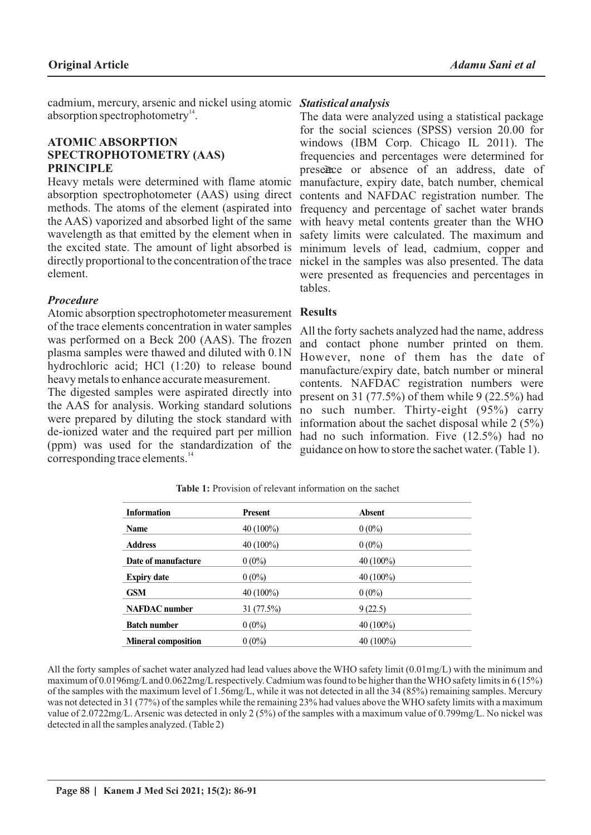cadmium, mercury, arsenic and nickel using atomic *Statistical analysis* absorption spectrophotometry $14$ .

#### **ATOMIC ABSORPTION SPECTROPHOTOMETRY (AAS) PRINCIPLE**

Heavy metals were determined with flame atomic absorption spectrophotometer (AAS) using direct methods. The atoms of the element (aspirated into the AAS) vaporized and absorbed light of the same wavelength as that emitted by the element when in the excited state. The amount of light absorbed is directly proportional to the concentration of the trace element.

#### *Procedure*

Atomic absorption spectrophotometer measurement of the trace elements concentration in water samples was performed on a Beck 200 (AAS). The frozen plasma samples were thawed and diluted with 0.1N hydrochloric acid; HCl (1:20) to release bound heavy metals to enhance accurate measurement.

The digested samples were aspirated directly into the AAS for analysis. Working standard solutions were prepared by diluting the stock standard with de-ionized water and the required part per million (ppm) was used for the standardization of the corresponding trace elements.<sup>14</sup>

The data were analyzed using a statistical package for the social sciences (SPSS) version 20.00 for windows (IBM Corp. Chicago IL 2011). The frequencies and percentages were determined for presence or absence of an address, date of manufacture, expiry date, batch number, chemical contents and NAFDAC registration number. The frequency and percentage of sachet water brands with heavy metal contents greater than the WHO safety limits were calculated. The maximum and minimum levels of lead, cadmium, copper and nickel in the samples was also presented. The data were presented as frequencies and percentages in tables.

#### **Results**

All the forty sachets analyzed had the name, address and contact phone number printed on them. However, none of them has the date of manufacture/expiry date, batch number or mineral contents. NAFDAC registration numbers were present on 31 (77.5%) of them while 9 (22.5%) had no such number. Thirty-eight (95%) carry information about the sachet disposal while 2 (5%) had no such information. Five (12.5%) had no guidance on how to store the sachet water. (Table 1).

| <b>Information</b>         | <b>Present</b> | <b>Absent</b> |
|----------------------------|----------------|---------------|
| Name                       | 40 (100%)      | $0(0\%)$      |
| <b>Address</b>             | 40 (100%)      | $0(0\%)$      |
| Date of manufacture        | $0(0\%)$       | $40(100\%)$   |
| <b>Expiry date</b>         | $0(0\%)$       | $40(100\%)$   |
| <b>GSM</b>                 | 40 (100%)      | $0(0\%)$      |
| <b>NAFDAC</b> number       | 31 (77.5%)     | 9(22.5)       |
| <b>Batch number</b>        | $0(0\%)$       | $40(100\%)$   |
| <b>Mineral composition</b> | $0(0\%)$       | 40 $(100\%)$  |

**Table 1:** Provision of relevant information on the sachet

All the forty samples of sachet water analyzed had lead values above the WHO safety limit (0.01mg/L) with the minimum and maximum of 0.0196mg/Land 0.0622mg/Lrespectively. Cadmium was found to be higher than the WHO safety limits in 6 (15%) of the samples with the maximum level of 1.56mg/L, while it was not detected in all the 34 (85%) remaining samples. Mercury was not detected in 31 (77%) of the samples while the remaining 23% had values above the WHO safety limits with a maximum value of 2.0722mg/L. Arsenic was detected in only 2 (5%) of the samples with a maximum value of 0.799mg/L. No nickel was detected in all the samples analyzed. (Table 2)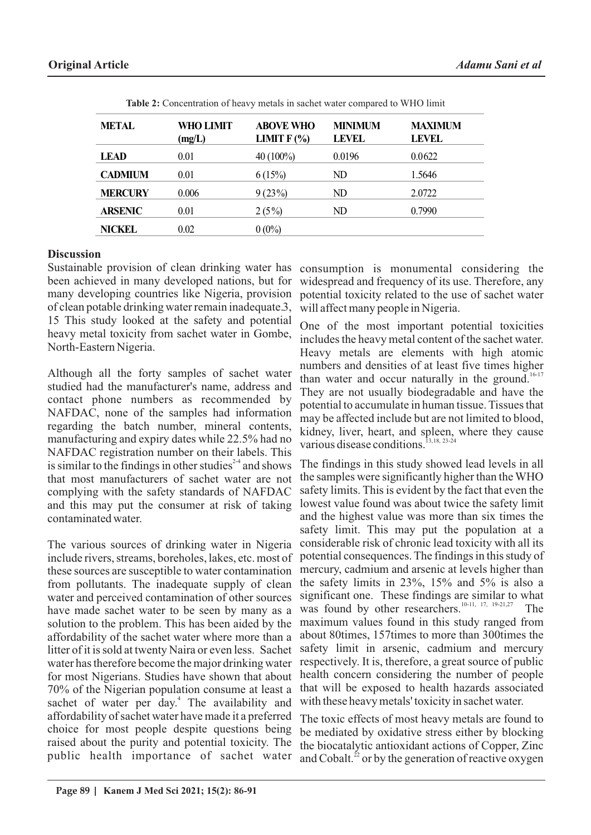| <b>METAL</b>   | WHO LIMIT<br>(mg/L) | <b>ABOVE WHO</b><br>LIMIT $F(\%)$ | <b>MINIMUM</b><br><b>LEVEL</b> | <b>MAXIMUM</b><br><b>LEVEL</b> |
|----------------|---------------------|-----------------------------------|--------------------------------|--------------------------------|
| <b>LEAD</b>    | 0.01                | $40(100\%)$                       | 0.0196                         | 0.0622                         |
| <b>CADMIUM</b> | 0.01                | 6(15%)                            | ND                             | 1.5646                         |
| <b>MERCURY</b> | 0.006               | 9(23%)                            | ND                             | 2.0722                         |
| <b>ARSENIC</b> | 0.01                | $2(5\%)$                          | ND                             | 0.7990                         |
| <b>NICKEL</b>  | 0.02                | $0(0\%)$                          |                                |                                |

**Table 2:** Concentration of heavy metals in sachet water compared to WHO limit

#### **Discussion**

Sustainable provision of clean drinking water has been achieved in many developed nations, but for many developing countries like Nigeria, provision of clean potable drinking water remain inadequate.3, 15 This study looked at the safety and potential heavy metal toxicity from sachet water in Gombe, North-Eastern Nigeria.

Although all the forty samples of sachet water studied had the manufacturer's name, address and contact phone numbers as recommended by NAFDAC, none of the samples had information regarding the batch number, mineral contents, manufacturing and expiry dates while 22.5% had no NAFDAC registration number on their labels. This is similar to the findings in other studies  $2-4$  and shows that most manufacturers of sachet water are not complying with the safety standards of NAFDAC and this may put the consumer at risk of taking contaminated water.

The various sources of drinking water in Nigeria include rivers, streams, boreholes, lakes, etc. most of these sources are susceptible to water contamination from pollutants. The inadequate supply of clean water and perceived contamination of other sources have made sachet water to be seen by many as a solution to the problem. This has been aided by the affordability of the sachet water where more than a litter of it is sold at twenty Naira or even less. Sachet water has therefore become the major drinking water for most Nigerians. Studies have shown that about 70% of the Nigerian population consume at least a sachet of water per day.<sup>4</sup> The availability and affordability of sachet water have made it a preferred choice for most people despite questions being raised about the purity and potential toxicity. The public health importance of sachet water

consumption is monumental considering the widespread and frequency of its use. Therefore, any potential toxicity related to the use of sachet water will affect many people in Nigeria.

One of the most important potential toxicities includes the heavy metal content of the sachet water. Heavy metals are elements with high atomic numbers and densities of at least five times higher than water and occur naturally in the ground.<sup>16-17</sup> They are not usually biodegradable and have the potential to accumulate in human tissue. Tissues that may be affected include but are not limited to blood, kidney, liver, heart, and spleen, where they cause various disease conditions.

The findings in this study showed lead levels in all the samples were significantly higher than the WHO safety limits. This is evident by the fact that even the lowest value found was about twice the safety limit and the highest value was more than six times the safety limit. This may put the population at a considerable risk of chronic lead toxicity with all its potential consequences. The findings in this study of mercury, cadmium and arsenic at levels higher than the safety limits in 23%, 15% and 5% is also a significant one. These findings are similar to what was found by other researchers.  $10-11$ ,  $17$ ,  $19-21$ ,  $27$  The maximum values found in this study ranged from about 80times, 157times to more than 300times the safety limit in arsenic, cadmium and mercury respectively. It is, therefore, a great source of public health concern considering the number of people that will be exposed to health hazards associated with these heavy metals' toxicity in sachet water.

The toxic effects of most heavy metals are found to be mediated by oxidative stress either by blocking the biocatalytic antioxidant actions of Copper, Zinc and Cobalt. $^{22}$  or by the generation of reactive oxygen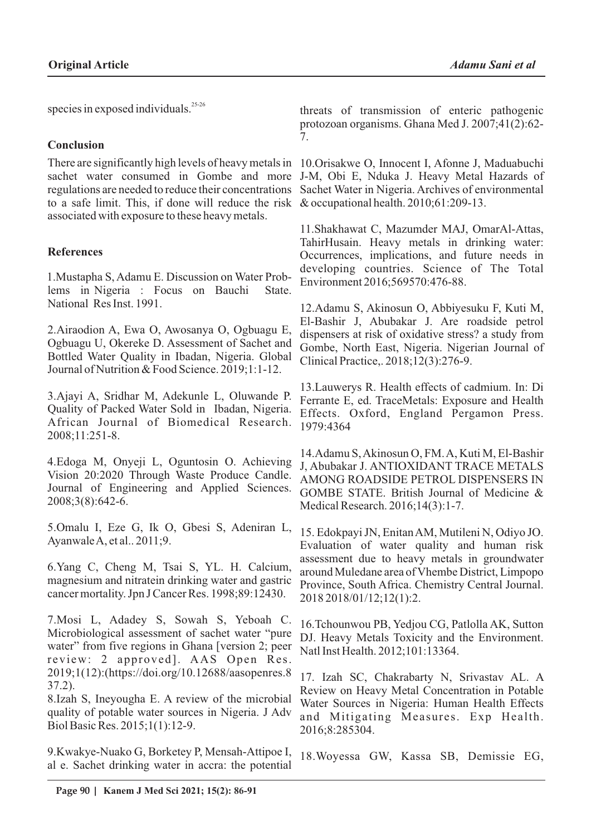species in exposed individuals.<sup>25-26</sup>

# **Conclusion**

There are significantly high levels of heavy metals in 10.Orisakwe O, Innocent I, Afonne J, Maduabuchi sachet water consumed in Gombe and more J-M, Obi E, Nduka J. Heavy Metal Hazards of regulations are needed to reduce their concentrations Sachet Water in Nigeria. Archives of environmental to a safe limit. This, if done will reduce the risk & occupational health. 2010;61:209-13. associated with exposure to these heavy metals.

# **References**

1.Mustapha S, Adamu E. Discussion on Water Problems in Nigeria : Focus on Bauchi State. National Res Inst. 1991.

2.Airaodion A, Ewa O, Awosanya O, Ogbuagu E, Ogbuagu U, Okereke D. Assessment of Sachet and Bottled Water Quality in Ibadan, Nigeria. Global Journal of Nutrition & Food Science. 2019;1:1-12.

3.Ajayi A, Sridhar M, Adekunle L, Oluwande P. Quality of Packed Water Sold in Ibadan, Nigeria. African Journal of Biomedical Research. 2008;11:251-8.

4.Edoga M, Onyeji L, Oguntosin O. Achieving Vision 20:2020 Through Waste Produce Candle. Journal of Engineering and Applied Sciences. 2008;3(8):642-6.

5.Omalu I, Eze G, Ik O, Gbesi S, Adeniran L, Ayanwale A, et al.. 2011;9.

6.Yang C, Cheng M, Tsai S, YL. H. Calcium, magnesium and nitratein drinking water and gastric cancer mortality. Jpn J Cancer Res. 1998;89:12430.

7.Mosi L, Adadey S, Sowah S, Yeboah C. Microbiological assessment of sachet water "pure water" from five regions in Ghana [version 2; peer review: 2 approved]. AAS Open Res. 2019;1(12):(https://doi.org/10.12688/aasopenres.8 37.2).

8.Izah S, Ineyougha E. A review of the microbial quality of potable water sources in Nigeria. J Adv Biol Basic Res. 2015;1(1):12-9.

9.Kwakye-Nuako G, Borketey P, Mensah-Attipoe I, al e. Sachet drinking water in accra: the potential

threats of transmission of enteric pathogenic protozoan organisms. Ghana Med J. 2007;41(2):62- 7.

11.Shakhawat C, Mazumder MAJ, OmarAl-Attas, TahirHusain. Heavy metals in drinking water: Occurrences, implications, and future needs in developing countries. Science of The Total Environment 2016;569570:476-88.

12.Adamu S, Akinosun O, Abbiyesuku F, Kuti M, El-Bashir J, Abubakar J. Are roadside petrol dispensers at risk of oxidative stress? a study from Gombe, North East, Nigeria. Nigerian Journal of Clinical Practice,. 2018;12(3):276-9.

13.Lauwerys R. Health effects of cadmium. In: Di Ferrante E, ed. TraceMetals: Exposure and Health Effects. Oxford, England Pergamon Press. 1979:4364

14.Adamu S, Akinosun O, FM. A, Kuti M, El-Bashir J, Abubakar J. ANTIOXIDANT TRACE METALS AMONG ROADSIDE PETROL DISPENSERS IN GOMBE STATE. British Journal of Medicine & Medical Research. 2016;14(3):1-7.

15. Edokpayi JN, Enitan AM, Mutileni N, Odiyo JO. Evaluation of water quality and human risk assessment due to heavy metals in groundwater around Muledane area of Vhembe District, Limpopo Province, South Africa. Chemistry Central Journal. 2018 2018/01/12;12(1):2.

16.Tchounwou PB, Yedjou CG, Patlolla AK, Sutton DJ. Heavy Metals Toxicity and the Environment. Natl Inst Health. 2012;101:13364.

17. Izah SC, Chakrabarty N, Srivastav AL. A Review on Heavy Metal Concentration in Potable Water Sources in Nigeria: Human Health Effects and Mitigating Measures. Exp Health. 2016;8:285304.

18.Woyessa GW, Kassa SB, Demissie EG,